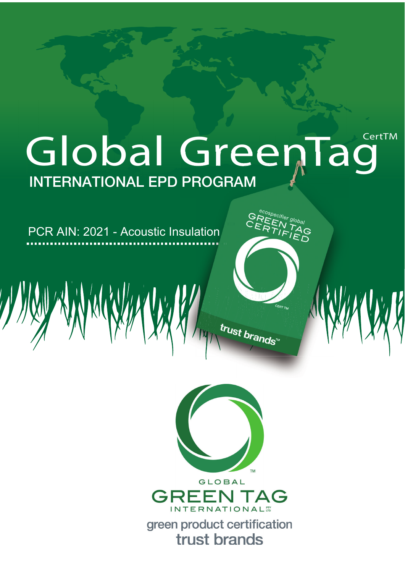# Global GreenTag **INTERNATIONAL EPD PROGRAM**

PCR AIN: 2021 - Acoustic Insulation



trust brands"

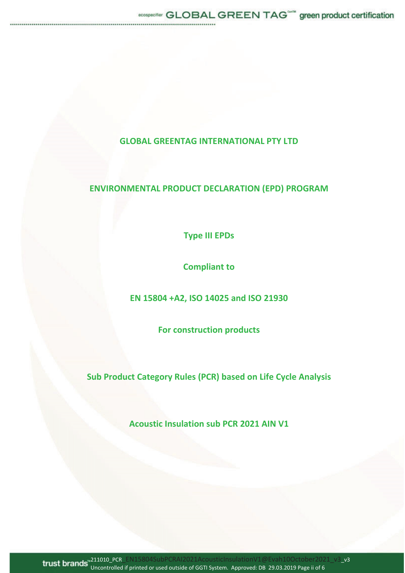## **GLOBAL GREENTAG INTERNATIONAL PTY LTD**

# **ENVIRONMENTAL PRODUCT DECLARATION (EPD) PROGRAM**

**Type III EPDs**

**Compliant to**

**EN 15804 +A2, ISO 14025 and ISO 21930**

**For construction products**

**Sub Product Category Rules (PCR) based on Life Cycle Analysis**

**Acoustic Insulation sub PCR 2021 AIN V1**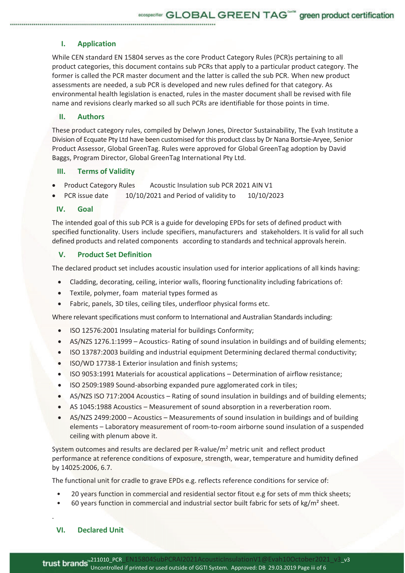### **I. Application**

While CEN standard EN 15804 serves as the core Product Category Rules (PCR)s pertaining to all product categories, this document contains sub PCRs that apply to a particular product category. The former is called the PCR master document and the latter is called the sub PCR. When new product assessments are needed, a sub PCR is developed and new rules defined for that category. As environmental health legislation is enacted, rules in the master document shall be revised with file name and revisions clearly marked so all such PCRs are identifiable for those points in time.

#### **II. Authors**

These product category rules, compiled by Delwyn Jones, Director Sustainability, The Evah Institute a Division of Ecquate Pty Ltd have been customised for this product class by Dr Nana Bortsie-Aryee, Senior Product Assessor, Global GreenTag. Rules were approved for Global GreenTag adoption by David Baggs, Program Director, Global GreenTag International Pty Ltd.

#### **III. Terms of Validity**

- Product Category Rules Acoustic Insulation sub PCR 2021 AIN V1
- PCR issue date 10/10/2021 and Period of validity to 10/10/2023

#### **IV. Goal**

The intended goal of this sub PCR is a guide for developing EPDs for sets of defined product with specified functionality. Users include specifiers, manufacturers and stakeholders. It is valid for all such defined products and related components according to standards and technical approvals herein.

#### **V. Product Set Definition**

The declared product set includes acoustic insulation used for interior applications of all kinds having:

- Cladding, decorating, ceiling, interior walls, flooring functionality including fabrications of:
- Textile, polymer, foam material types formed as
- Fabric, panels, 3D tiles, ceiling tiles, underfloor physical forms etc.

Where relevant specifications must conform to International and Australian Standards including:

- ISO 12576:2001 Insulating material for buildings Conformity;
- $\bullet$  AS/NZS 1276.1:1999 Acoustics- Rating of sound insulation in buildings and of building elements;
- ISO 13787:2003 building and industrial equipment Determining declared thermal conductivity;
- ISO/WD 17738-1 Exterior insulation and finish systems;
- ISO 9053:1991 Materials for acoustical applications Determination of airflow resistance;
- ISO 2509:1989 Sound-absorbing expanded pure agglomerated cork in tiles;
- AS/NZS ISO 717:2004 Acoustics Rating of sound insulation in buildings and of building elements;
- x AS 1045:1988 Acoustics Measurement of sound absorption in a reverberation room.
- x AS/NZS 2499:2000 Acoustics Measurements of sound insulation in buildings and of building elements – Laboratory measurement of room-to-room airborne sound insulation of a suspended ceiling with plenum above it.

System outcomes and results are declared per R-value/m<sup>2</sup> metric unit and reflect product performance at reference conditions of exposure, strength, wear, temperature and humidity defined by 14025:2006, 6.7.

The functional unit for cradle to grave EPDs e.g. reflects reference conditions for service of:

- 20 years function in commercial and residential sector fitout e.g for sets of mm thick sheets;
- 60 years function in commercial and industrial sector built fabric for sets of  $kg/m<sup>2</sup>$  sheet.

**VI. Declared Unit**

.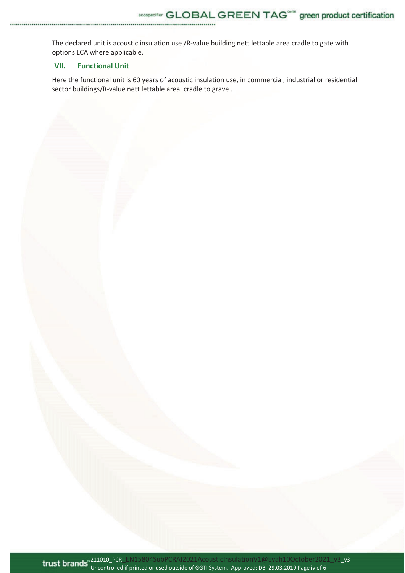The declared unit is acoustic insulation use /R-value building nett lettable area cradle to gate with options LCA where applicable.

## **VII. Functional Unit**

Here the functional unit is 60 years of acoustic insulation use, in commercial, industrial or residential sector buildings/R-value nett lettable area, cradle to grave .

211010\_PCR\_EN15804SubPCRAI2021AcousticInsulationV1@Evah10October2021\_v3\_v3 Uncontrolled if printed or used outside of GGTI System. Approved: DB 29.03.2019 Page iv of 6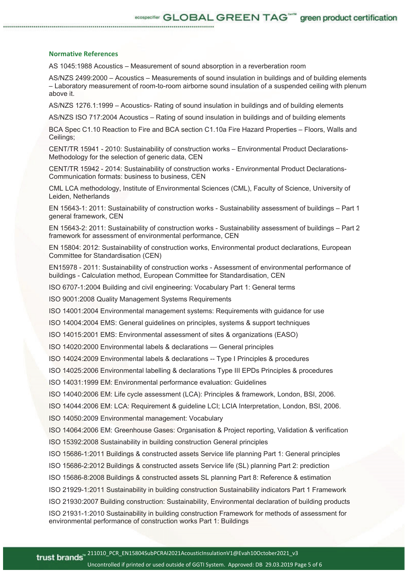#### **Normative References**

AS 1045:1988 Acoustics – Measurement of sound absorption in a reverberation room

AS/NZS 2499:2000 – Acoustics – Measurements of sound insulation in buildings and of building elements – Laboratory measurement of room-to-room airborne sound insulation of a suspended ceiling with plenum above it.

AS/NZS 1276.1:1999 – Acoustics- Rating of sound insulation in buildings and of building elements

AS/NZS ISO 717:2004 Acoustics – Rating of sound insulation in buildings and of building elements

BCA Spec C1.10 Reaction to Fire and BCA section C1.10a Fire Hazard Properties – Floors, Walls and Ceilings;

CENT/TR 15941 - 2010: Sustainability of construction works – Environmental Product Declarations-Methodology for the selection of generic data, CEN

CENT/TR 15942 - 2014: Sustainability of construction works - Environmental Product Declarations-Communication formats: business to business, CEN

CML LCA methodology, Institute of Environmental Sciences (CML), Faculty of Science, University of Leiden, Netherlands

EN 15643-1: 2011: Sustainability of construction works - Sustainability assessment of buildings – Part 1 general framework, CEN

EN 15643-2: 2011: Sustainability of construction works - Sustainability assessment of buildings – Part 2 framework for assessment of environmental performance, CEN

EN 15804: 2012: Sustainability of construction works, Environmental product declarations, European Committee for Standardisation (CEN)

EN15978 - 2011: Sustainability of construction works - Assessment of environmental performance of buildings - Calculation method, European Committee for Standardisation, CEN

ISO 6707-1:2004 Building and civil engineering: Vocabulary Part 1: General terms

ISO 9001:2008 Quality Management Systems Requirements

ISO 14001:2004 Environmental management systems: Requirements with guidance for use

ISO 14004:2004 EMS: General guidelines on principles, systems & support techniques

ISO 14015:2001 EMS: Environmental assessment of sites & organizations (EASO)

ISO 14020:2000 Environmental labels & declarations — General principles

ISO 14024:2009 Environmental labels & declarations -- Type I Principles & procedures

ISO 14025:2006 Environmental labelling & declarations Type III EPDs Principles & procedures

ISO 14031:1999 EM: Environmental performance evaluation: Guidelines

ISO 14040:2006 EM: Life cycle assessment (LCA): Principles & framework, London, BSI, 2006.

ISO 14044:2006 EM: LCA: Requirement & guideline LCI; LCIA Interpretation, London, BSI, 2006.

ISO 14050:2009 Environmental management: Vocabulary

ISO 14064:2006 EM: Greenhouse Gases: Organisation & Project reporting, Validation & verification ISO 15392:2008 Sustainability in building construction General principles

ISO 15686-1:2011 Buildings & constructed assets Service life planning Part 1: General principles

ISO 15686-2:2012 Buildings & constructed assets Service life (SL) planning Part 2: prediction

ISO 15686-8:2008 Buildings & constructed assets SL planning Part 8: Reference & estimation

ISO 21929-1:2011 Sustainability in building construction Sustainability indicators Part 1 Framework

ISO 21930:2007 Building construction: Sustainability, Environmental declaration of building products

ISO 21931-1:2010 Sustainability in building construction Framework for methods of assessment for environmental performance of construction works Part 1: Buildings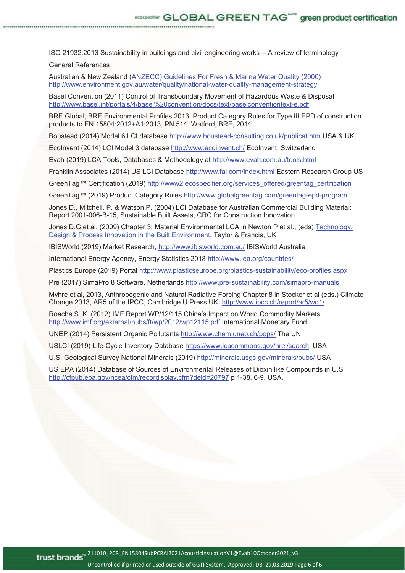ISO 21932:2013 Sustainability in buildings and civil engineering works -- A review of terminology

General References

Australian & New Zealand (ANZECC) Guidelines For Fresh & Marine Water Quality (2000) http://www.environment.gov.au/water/quality/national-water-quality-management-strategy

Basel Convention (2011) Control of Transboundary Movement of Hazardous Waste & Disposal http://www.basel.int/portals/4/basel%20convention/docs/text/baselconventiontext-e.pdf

BRE Global, BRE Environmental Profiles 2013: Product Category Rules for Type III EPD of construction products to EN 15804:2012+A1:2013, PN 514. Watford, BRE, 2014

Boustead (2014) Model 6 LCI database http://www.boustead-consulting.co.uk/publicat.htm USA & UK

EcoInvent (2014) LCI Model 3 database http://www.ecoinvent.ch/ EcoInvent, Switzerland

Evah (2019) LCA Tools, Databases & Methodology at http://www.evah.com.au/tools.html

Franklin Associates (2014) US LCI Database http://www.fal.com/index.html Eastern Research Group US

GreenTag™ Certification (2019) http://www2.ecospecifier.org/services\_offered/greentag\_certification

GreenTag™ (2019) Product Category Rules http://www.globalgreentag.com/greentag-epd-program

Jones D., Mitchell. P. & Watson P. (2004) LCI Database for Australian Commercial Building Material: Report 2001-006-B-15, Sustainable Built Assets, CRC for Construction Innovation

Jones D.G et al. (2009) Chapter 3: Material Environmental LCA in Newton P et al., (eds) Technology, Design & Process Innovation in the Built Environment, Taylor & Francis, UK

IBISWorld (2019) Market Research, http://www.ibisworld.com.au/ IBISWorld Australia

International Energy Agency, Energy Statistics 2018 http://www.iea.org/countries/

Plastics Europe (2019) Portal http://www.plasticseurope.org/plastics-sustainability/eco-profiles.aspx

Pre (2017) SimaPro 8 Software, Netherlands http://www.pre-sustainability.com/simapro-manuals

Myhre et al, 2013, Anthropogenic and Natural Radiative Forcing Chapter 8 in Stocker et al (eds.) Climate Change 2013, AR5 of the IPCC, Cambridge U Press UK. http://www.ipcc.ch/report/ar5/wg1/

Roache S. K. (2012) IMF Report WP/12/115 China's Impact on World Commodity Markets http://www.imf.org/external/pubs/ft/wp/2012/wp12115.pdf International Monetary Fund

UNEP (2014) Persistent Organic Pollutants http://www.chem.unep.ch/pops/ The UN

USLCI (2019) Life-Cycle Inventory Database https://www.lcacommons.gov/nrel/search, USA

U.S. Geological Survey National Minerals (2019) http://minerals.usgs.gov/minerals/pubs/ USA

US EPA (2014) Database of Sources of Environmental Releases of Dioxin like Compounds in U.S http://cfpub.epa.gov/ncea/cfm/recordisplay.cfm?deid=20797 p 1-38, 6-9, USA.